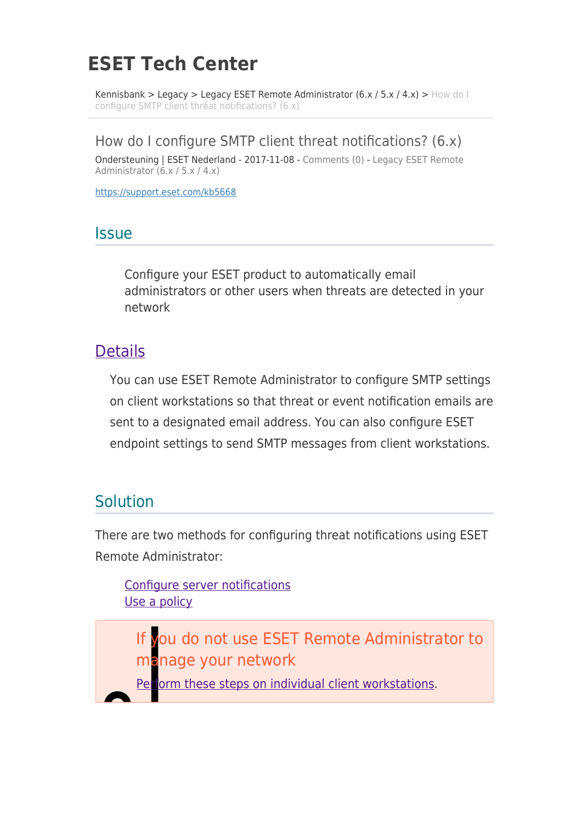# **ESET Tech Center**

[Kennisbank](https://techcenter.eset.nl/nl/kb) > [Legacy](https://techcenter.eset.nl/nl/kb/legacy) > Legacy ESET Remote Administrator  $(6.x / 5.x / 4.x)$  > [How do I](https://techcenter.eset.nl/nl/kb/articles/how-do-i-configure-smtp-client-threat-notifications-6-x) [configure SMTP client threat notifications? \(6.x\)](https://techcenter.eset.nl/nl/kb/articles/how-do-i-configure-smtp-client-threat-notifications-6-x)

### How do I configure SMTP client threat notifications? (6.x)

Ondersteuning | ESET Nederland - 2017-11-08 - [Comments \(0\)](#page--1-0) - [Legacy ESET Remote](https://techcenter.eset.nl/nl/kb/legacy-eset-remote-administrator-6-x-5-x-4-x) [Administrator \(6.x / 5.x / 4.x\)](https://techcenter.eset.nl/nl/kb/legacy-eset-remote-administrator-6-x-5-x-4-x)

<https://support.eset.com/kb5668>

### **Issue**

Configure your ESET product to automatically email administrators or other users when threats are detected in your network

### **[Details](https://support.eset.com/kb5668/)**

You can use ESET Remote Administrator to configure SMTP settings on client workstations so that threat or event notification emails are sent to a designated email address. You can also configure ESET endpoint settings to send SMTP messages from client workstations.

### Solution

There are two methods for configuring threat notifications using ESET Remote Administrator:

[Configure server notifications](https://support.eset.com/kb5668/#notifications) [Use a policy](https://support.eset.com/kb5668/#policy)

If you do not use ESET Remote Administrator to manage your network

[Perform these steps on individual client workstations](https://support.eset.com/kb5668/#endpoint).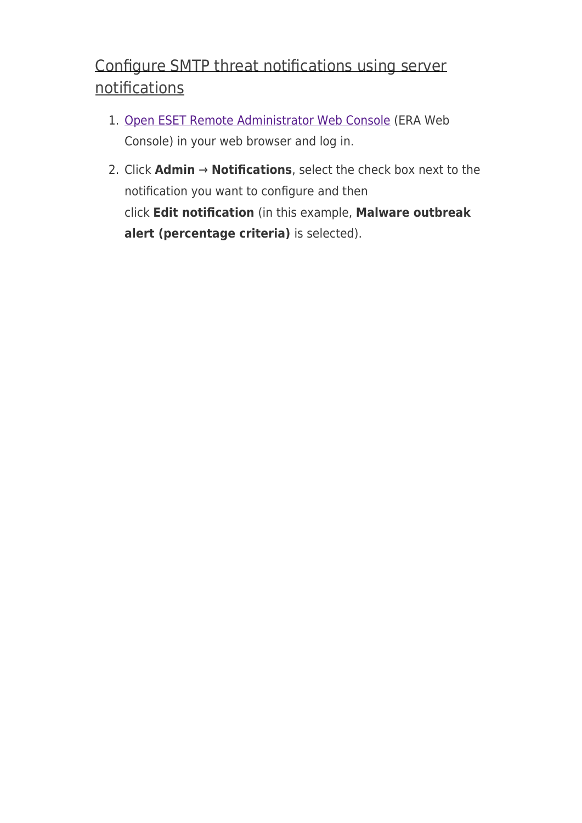## Configure SMTP threat notifications using server notifications

- 1. [Open ESET Remote Administrator Web Console](https://support.eset.com/kb3695/) (ERA Web Console) in your web browser and log in.
- 2. Click **Admin** → **Notifications**, select the check box next to the notification you want to configure and then click **Edit notification** (in this example, **Malware outbreak alert (percentage criteria)** is selected).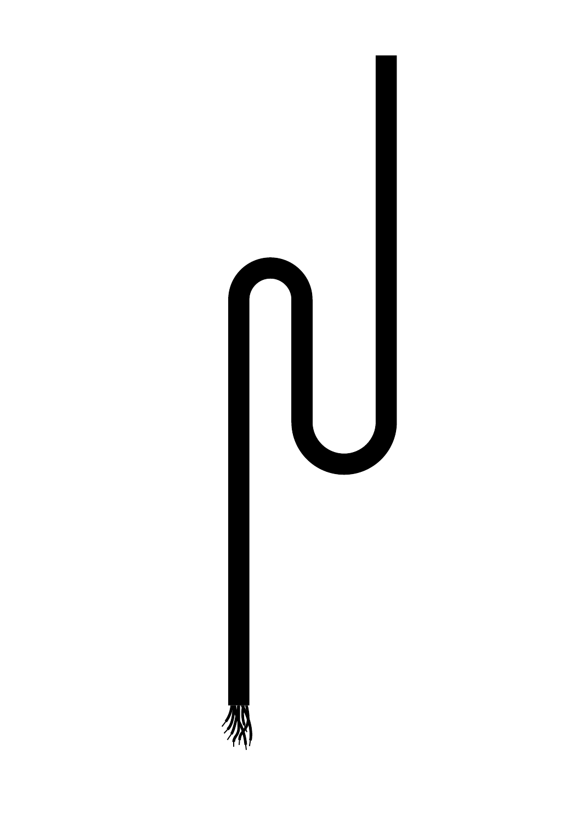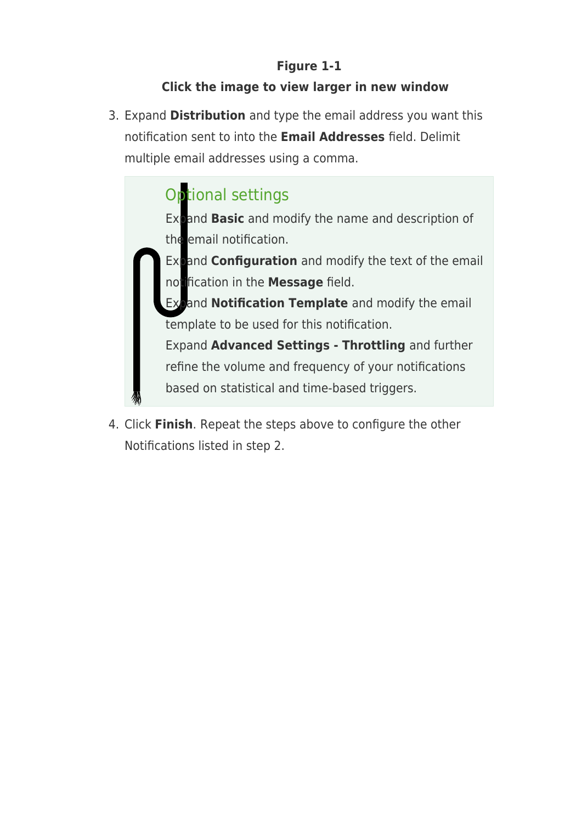### **Figure 1-1**

### **Click the image to view larger in new window**

3. Expand **Distribution** and type the email address you want this notification sent to into the **Email Addresses** field. Delimit multiple email addresses using a comma.

Optional settings Expand **Basic** and modify the name and description of the email notification. Expand **Configuration** and modify the text of the email notification in the **Message** field. Expand **Notification Template** and modify the email template to be used for this notification. Expand **Advanced Settings - Throttling** and further refine the volume and frequency of your notifications based on statistical and time-based triggers.

4. Click **Finish**. Repeat the steps above to configure the other Notifications listed in step 2.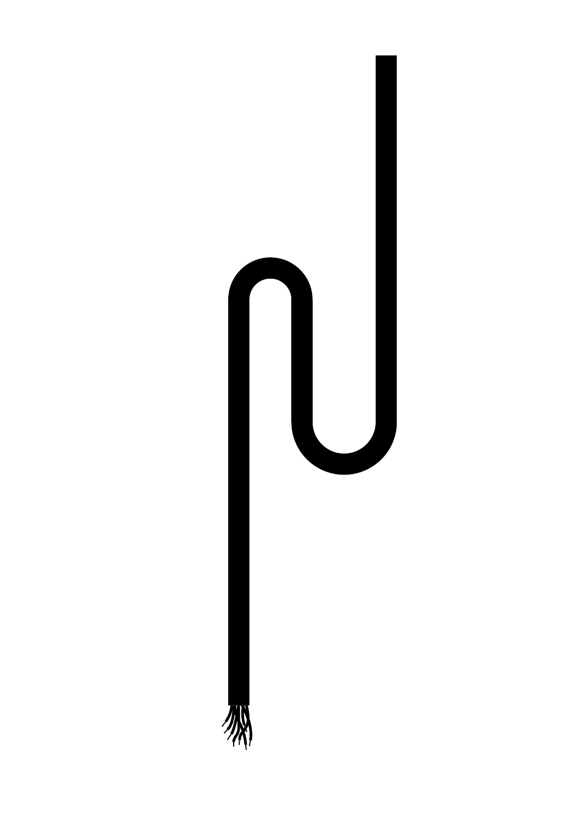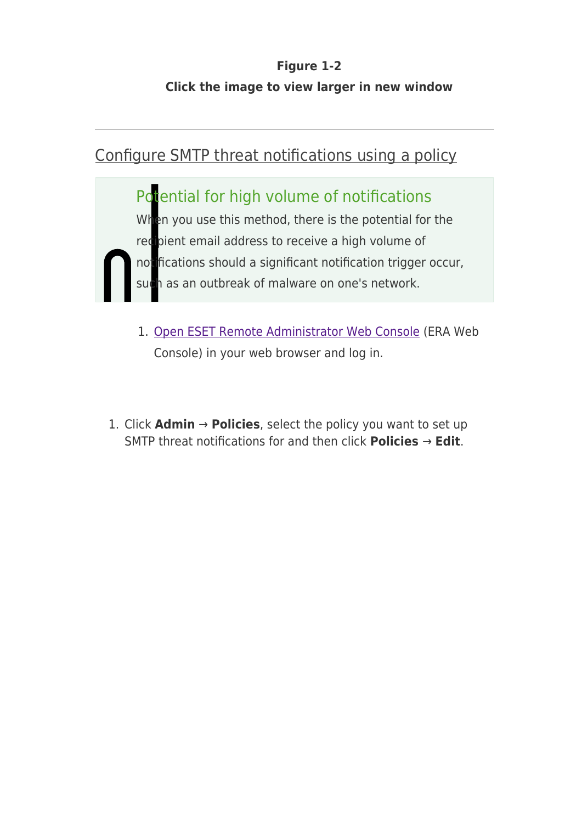### **Figure 1-2 Click the image to view larger in new window**

Configure SMTP threat notifications using a policy

Potential for high volume of notifications When you use this method, there is the potential for the recipient email address to receive a high volume of notifications should a significant notification trigger occur, such as an outbreak of malware on one's network.

- 1. [Open ESET Remote Administrator Web Console](https://support.eset.com/kb3695/) (ERA Web Console) in your web browser and log in.
- 1. Click **Admin** → **Policies**, select the policy you want to set up SMTP threat notifications for and then click **Policies** → **Edit**.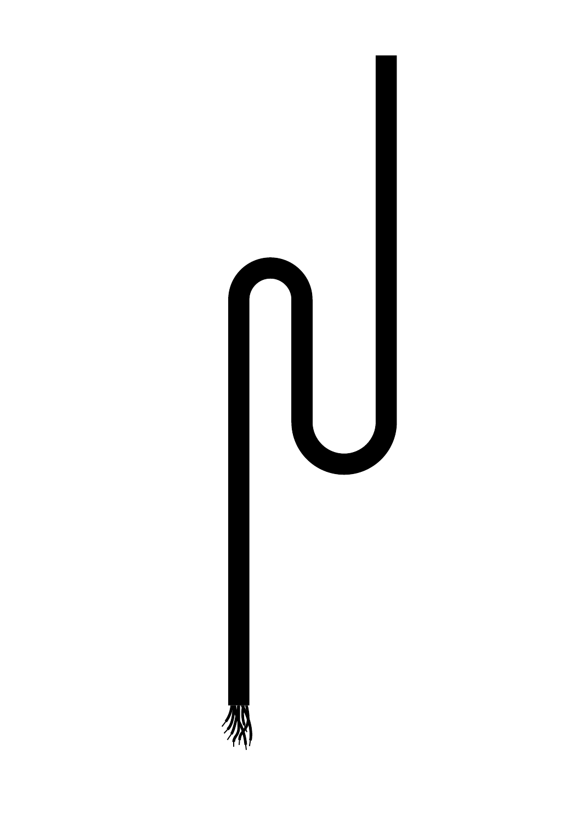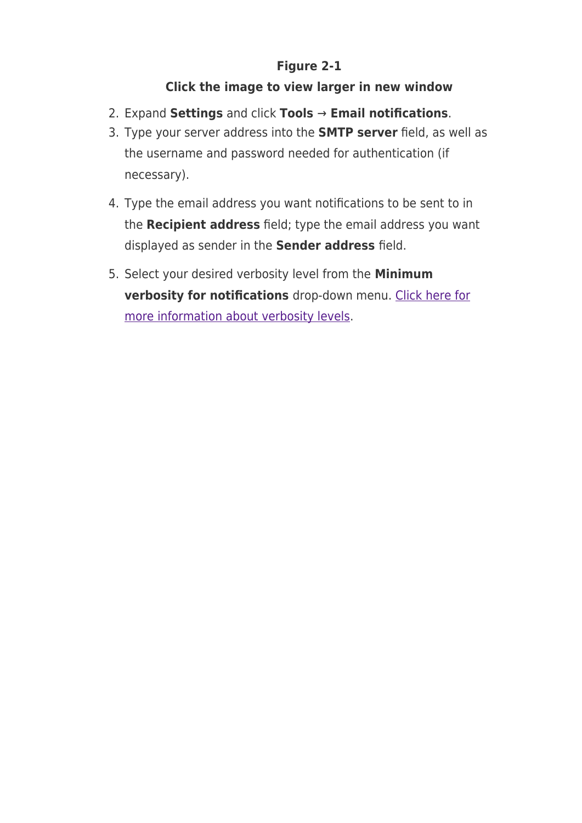#### **Figure 2-1**

#### **Click the image to view larger in new window**

- 2. Expand **Settings** and click **Tools** → **Email notifications**.
- 3. Type your server address into the **SMTP server** field, as well as the username and password needed for authentication (if necessary).
- 4. Type the email address you want notifications to be sent to in the **Recipient address** field; type the email address you want displayed as sender in the **Sender address** field.
- 5. Select your desired verbosity level from the **Minimum verbosity for notifications** drop-down menu. [Click here for](http://help.eset.com/ees/6/en-US/?idh_config_notice.htm) [more information about verbosity levels](http://help.eset.com/ees/6/en-US/?idh_config_notice.htm).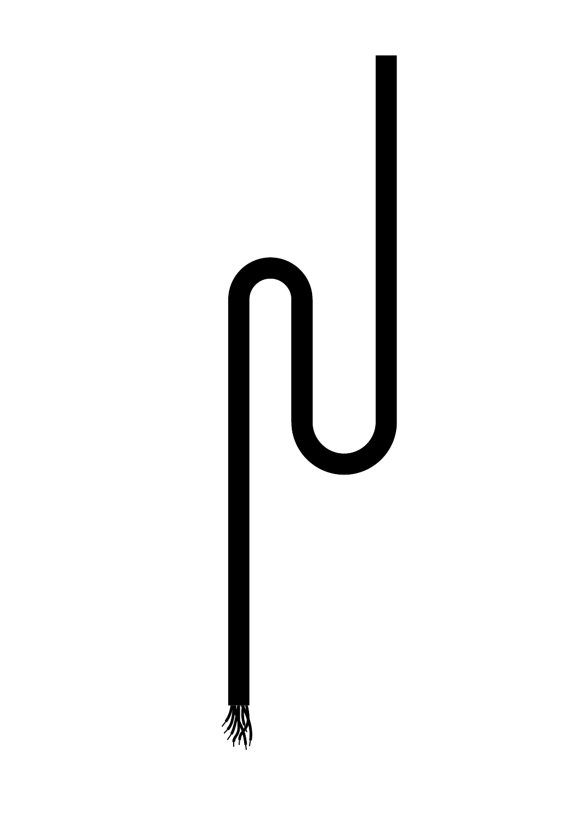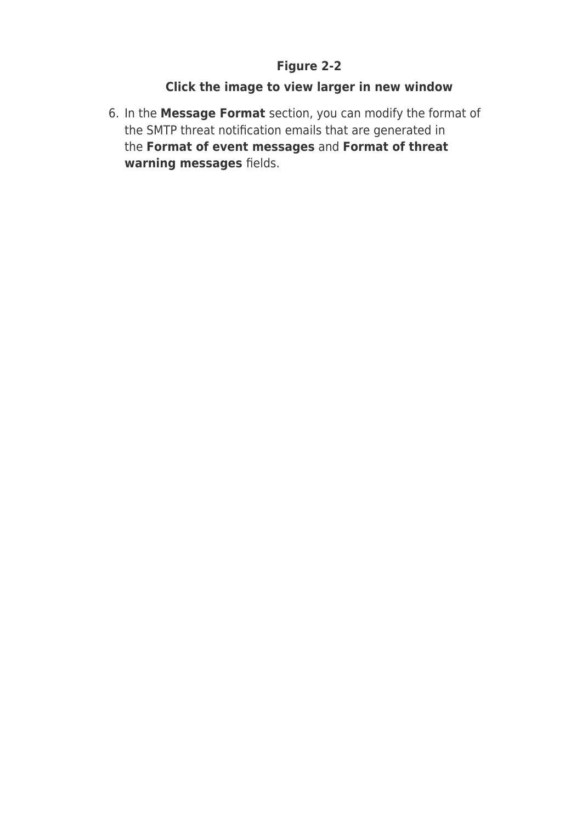#### **Figure 2-2**

### **Click the image to view larger in new window**

6. In the **Message Format** section, you can modify the format of the SMTP threat notification emails that are generated in the **Format of event messages** and **Format of threat warning messages** fields.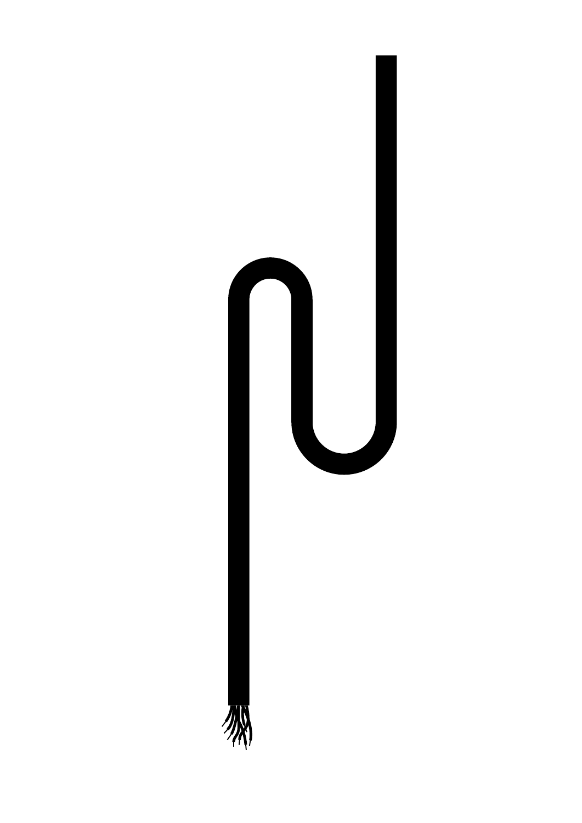![](_page_10_Picture_0.jpeg)